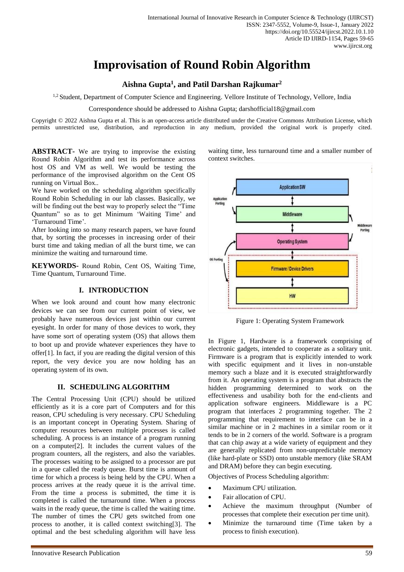# **Improvisation of Round Robin Algorithm**

# **Aishna Gupta<sup>1</sup> , and Patil Darshan Rajkumar<sup>2</sup>**

<sup>1,2</sup> Student, Department of Computer Science and Engineering. Vellore Institute of Technology, Vellore, India

Correspondence should be addressed to Aishna Gupta; darshofficial18@gmail.com

Copyright © 2022 Aishna Gupta et al. This is an open-access article distributed under the Creative Commons Attribution License, which permits unrestricted use, distribution, and reproduction in any medium, provided the original work is properly cited.

**ABSTRACT-** We are trying to improvise the existing Round Robin Algorithm and test its performance across host OS and VM as well. We would be testing the performance of the improvised algorithm on the Cent OS running on Virtual Box..

We have worked on the scheduling algorithm specifically Round Robin Scheduling in our lab classes. Basically, we will be finding out the best way to properly select the "Time Quantum" so as to get Minimum 'Waiting Time' and 'Turnaround Time'.

After looking into so many research papers, we have found that, by sorting the processes in increasing order of their burst time and taking median of all the burst time, we can minimize the waiting and turnaround time.

**KEYWORDS-** Round Robin, Cent OS, Waiting Time, Time Quantum, Turnaround Time.

## **I. INTRODUCTION**

When we look around and count how many electronic devices we can see from our current point of view, we probably have numerous devices just within our current eyesight. In order for many of those devices to work, they have some sort of operating system (OS) that allows them to boot up and provide whatever experiences they have to offer[1]. In fact, if you are reading the digital version of this report, the very device you are now holding has an operating system of its own.

#### **II. SCHEDULING ALGORITHM**

The Central Processing Unit (CPU) should be utilized efficiently as it is a core part of Computers and for this reason, CPU scheduling is very necessary. CPU Scheduling is an important concept in Operating System. Sharing of computer resources between multiple processes is called scheduling. A process is an instance of a program running on a computer[2]. It includes the current values of the program counters, all the registers, and also the variables. The processes waiting to be assigned to a processor are put in a queue called the ready queue. Burst time is amount of time for which a process is being held by the CPU. When a process arrives at the ready queue it is the arrival time. From the time a process is submitted, the time it is completed is called the turnaround time. When a process waits in the ready queue, the time is called the waiting time. The number of times the CPU gets switched from one process to another, it is called context switching[3]. The optimal and the best scheduling algorithm will have less



Figure 1: Operating System Framework

**HW** 

In Figure 1, Hardware is a framework comprising of electronic gadgets, intended to cooperate as a solitary unit. Firmware is a program that is explicitly intended to work with specific equipment and it lives in non-unstable memory such a blaze and it is executed straightforwardly from it. An operating system is a program that abstracts the hidden programming determined to work on the effectiveness and usability both for the end-clients and application software engineers. Middleware is a PC program that interfaces 2 programming together. The 2 programming that requirement to interface can be in a similar machine or in 2 machines in a similar room or it tends to be in 2 corners of the world. Software is a program that can chip away at a wide variety of equipment and they are generally replicated from non-unpredictable memory (like hard-plate or SSD) onto unstable memory (like SRAM and DRAM) before they can begin executing.

Objectives of Process Scheduling algorithm:

- Maximum CPU utilization.
- Fair allocation of CPU.
- Achieve the maximum throughput (Number of processes that complete their execution per time unit).
- Minimize the turnaround time (Time taken by a process to finish execution).

waiting time, less turnaround time and a smaller number of context switches.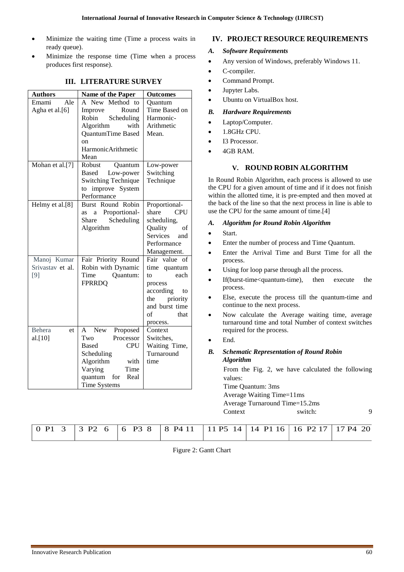- Minimize the waiting time (Time a process waits in ready queue).
- Minimize the response time (Time when a process produces first response).

| <b>Authors</b>                                    | <b>Name of the Paper</b>                                                                                                                                                                   | <b>Outcomes</b>                                                                                                                          |  |  |  |
|---------------------------------------------------|--------------------------------------------------------------------------------------------------------------------------------------------------------------------------------------------|------------------------------------------------------------------------------------------------------------------------------------------|--|--|--|
| Ale<br>Emami<br>Agha et al.[6]<br>Mohan et al.[7] | A New Method to<br>Round<br>Improve<br>Robin<br>Scheduling<br>Algorithm<br>with<br>QuantumTime Based<br>on<br><b>HarmonicArithmetic</b><br>Mean<br>Robust<br>Quantum<br>Low-power<br>Based | Ouantum<br>Time Based on<br>Harmonic-<br>Arithmetic<br>Mean.<br>Low-power<br>Switching                                                   |  |  |  |
|                                                   | <b>Switching Technique</b><br>to improve System<br>Performance                                                                                                                             | Technique                                                                                                                                |  |  |  |
| Helmy et al.[8]                                   | Burst Round Robin<br>Proportional-<br>a<br>as<br>Scheduling<br>Share<br>Algorithm                                                                                                          | Proportional-<br><b>CPU</b><br>share<br>scheduling,<br>Quality<br>of<br>Services<br>and<br>Performance<br>Management.                    |  |  |  |
| Manoj Kumar<br>Srivastav et al.<br>[9]            | Fair Priority Round<br>Robin with Dynamic<br>Time<br>Quantum:<br><b>FPRRDQ</b>                                                                                                             | Fair value of<br>time quantum<br>each<br>to<br>process<br>according<br>to<br>priority<br>the<br>and burst time<br>of<br>that<br>process. |  |  |  |
| <b>Behera</b><br>et<br>al.[10]                    | <b>New</b><br>Proposed<br>A<br>Two<br>Processor<br><b>Based</b><br><b>CPU</b><br>Scheduling<br>Algorithm<br>with<br>Varying<br>Time<br>quantum<br>Real<br>for<br><b>Time Systems</b>       | Context<br>Switches,<br>Waiting Time,<br>Turnaround<br>time                                                                              |  |  |  |

# **III. LITERATURE SURVEY**

# **IV. PROJECT RESOURCE REQUIREMENTS**

## *A. Software Requirements*

- Any version of Windows, preferably Windows 11.
- C-compiler.
- Command Prompt.
- Jupyter Labs.
- Ubuntu on VirtualBox host.

#### *B. Hardware Requirements*

- Laptop/Computer.
- 1.8GHz CPU.
- I3 Processor.
- 4GB RAM.

## **V. ROUND ROBIN ALGORITHM**

In Round Robin Algorithm, each process is allowed to use the CPU for a given amount of time and if it does not finish within the allotted time, it is pre-empted and then moved at the back of the line so that the next process in line is able to use the CPU for the same amount of time.[4]

#### *A. Algorithm for Round Robin Algorithm*

- Start.
- Enter the number of process and Time Quantum.
- Enter the Arrival Time and Burst Time for all the process.
- Using for loop parse through all the process.
- If(burst-time<quantum-time), then execute the process.
- Else, execute the process till the quantum-time and continue to the next process.
- Now calculate the Average waiting time, average turnaround time and total Number of context switches required for the process.
- End.

## *B. Schematic Representation of Round Robin Algorithm*

From the Fig. 2, we have calculated the following values:

Time Quantum: 3ms Average Waiting Time=11ms Average Turnaround Time=15.2ms Context switch: 9

| 0 P1 3   3 P2 6   6 P3 8   8 P4 11   11 P5 14   14 P1 16   16 P2 17   17 P4 20 |
|--------------------------------------------------------------------------------|
|--------------------------------------------------------------------------------|

Figure 2: Gantt Chart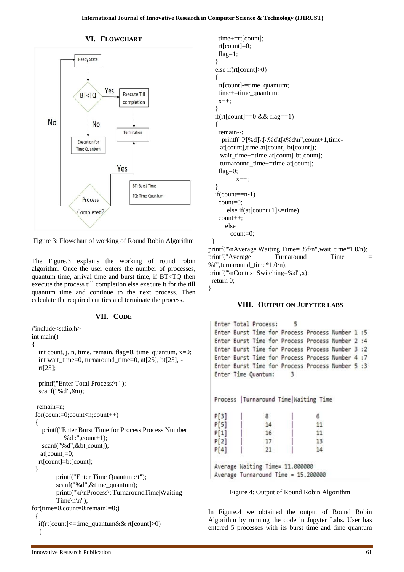#### **VI. FLOWCHART**



Figure 3: Flowchart of working of Round Robin Algorithm

The Figure.3 explains the working of round robin algorithm. Once the user enters the number of processes, quantum time, arrival time and burst time, if BT<TQ then execute the process till completion else execute it for the till quantum time and continue to the next process. Then calculate the required entities and terminate the process.

#### **VII. CODE**

```
#include<stdio.h>
int main() 
{ 
   int count, j, n, time, remain, flag=0, time_quantum, x=0; 
   int wait_time=0, turnaround_time=0, at[25], bt[25], - 
   rt[25]; 
   printf("Enter Total Process:\t "); 
  scanf("%d", \&n);
  remain=n; 
  for(count=0;count<n;count++) 
  { 
     printf("Enter Burst Time for Process Process Number 
             %d :",count+1);
    scanf("%d",&bt[count]);
    at[count]=0; 
   rt[count]=bt[count]; 
  } 
         printf("Enter Time Quantum:\t"); 
         scanf("%d",&time_quantum); 
         printf("\n\nProcess\t|TurnaroundTime|Waiting 
         Time\ln\ln");
for(time=0,count=0;remain!=0;)
  { 
   if(rt[count]<=time_quantum&& rt[count]>0) 
   {
```

```
 time+=rt[count]; 
     rt[count]=0; 
     flag=1; 
   } 
   else if(rt[count]>0) 
   { 
    rt[count]-=time_quantum; 
     time+=time_quantum; 
   x++:
   } 
  if(rt[count]==0 && flag==1)
   { 
    remain--; 
     printf("P[%d]\t|\t%d\t|\t%d\n",count+1,time-
     at[count],time-at[count]-bt[count]); 
     wait_time+=time-at[count]-bt[count]; 
     turnaround_time+=time-at[count]; 
     flag=0;
           x++; 
 } 
   if(count==n-1) 
    count=0; 
      else if(at[count+1] \leqtime)
     count++; 
       else 
         count=0; 
  } 
printf("\nAverage Waiting Time= %f\n",wait_time*1.0/n);
printf("Average Turnaround Time
%f'',turnaround time*1.0/n);
printf("\nContext Switching=%d",x); 
  return 0;
```
}

#### **VIII. OUTPUT ON JUPYTER LABS**

```
Enter Total Process:
                          5
Enter Burst Time for Process Process Number 1:5
Enter Burst Time for Process Process Number 2 :4
Enter Burst Time for Process Process Number 3 :2
Enter Burst Time for Process Process Number 4:7
Enter Burst Time for Process Process Number 5:3
Enter Time Ouantum:
                          \overline{3}Process | Turnaround Time | Waiting Time
P[3]\mathbf{\hat{z}}6
P[5]14
                                  11
P[1]16
                                  11
P[2]17
                                  13
P[4]21
                                  14
Average Waiting Time= 11.000000
Average Turnaround Time = 15.200000
     Figure 4: Output of Round Robin Algorithm
```
In Figure.4 we obtained the output of Round Robin Algorithm by running the code in Jupyter Labs. User has entered 5 processes with its burst time and time quantum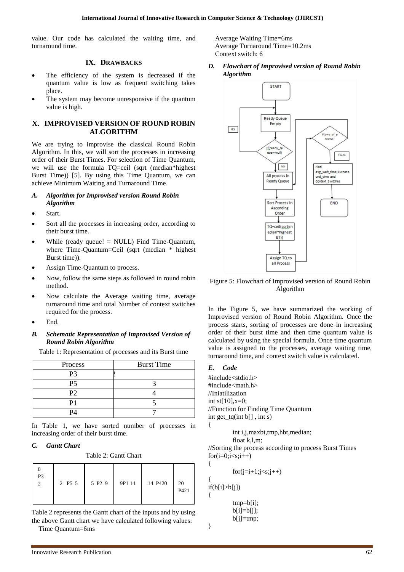value. Our code has calculated the waiting time, and turnaround time.

#### **IX. DRAWBACKS**

- The efficiency of the system is decreased if the quantum value is low as frequent switching takes place.
- The system may become unresponsive if the quantum value is high.

## **X. IMPROVISED VERSION OF ROUND ROBIN ALGORITHM**

We are trying to improvise the classical Round Robin Algorithm. In this, we will sort the processes in increasing order of their Burst Times. For selection of Time Quantum, we will use the formula TQ=ceil (sqrt (median\*highest Burst Time)) [5]. By using this Time Quantum, we can achieve Minimum Waiting and Turnaround Time.

#### *A. Algorithm for Improvised version Round Robin Algorithm*

- Start.
- Sort all the processes in increasing order, according to their burst time.
- While (ready queue! = NULL) Find Time-Quantum, where Time-Quantum=Ceil (sqrt (median \* highest Burst time)).
- Assign Time-Quantum to process.
- Now, follow the same steps as followed in round robin method.
- Now calculate the Average waiting time, average turnaround time and total Number of context switches required for the process.
- End.

#### *B. Schematic Representation of Improvised Version of Round Robin Algorithm*

Table 1: Representation of processes and its Burst time

| Process | <b>Burst Time</b> |
|---------|-------------------|
| P3      |                   |
| Ρ5      |                   |
| Ρ2      |                   |
|         |                   |
|         |                   |

In Table 1, we have sorted number of processes in increasing order of their burst time.

#### *C. Gantt Chart*

Table 2: Gantt Chart

| P <sub>3</sub> | 2 P5 5<br>Ш | 5 P2 9 | 9P1 14 | 14 P420 | 20<br>P421 |  |
|----------------|-------------|--------|--------|---------|------------|--|
|----------------|-------------|--------|--------|---------|------------|--|

Table 2 represents the Gantt chart of the inputs and by using the above Gantt chart we have calculated following values:

Time Quantum=6ms

Average Waiting Time=6ms Average Turnaround Time=10.2ms Context switch: 6

*D. Flowchart of Improvised version of Round Robin Algorithm*



Figure 5: Flowchart of Improvised version of Round Robin Algorithm

In the Figure 5, we have summarized the working of Improvised version of Round Robin Algorithm. Once the process starts, sorting of processes are done in increasing order of their burst time and then time quantum value is calculated by using the special formula. Once time quantum value is assigned to the processes, average waiting time, turnaround time, and context switch value is calculated.

#### *E. Code*

{

{

{

{

}

#include<stdio.h> #include<math.h> //Iniatilization int st[ $10$ ], x=0; //Function for Finding Time Quantum int get\_tq(int b[] , int s)

int i,j,maxbt,tmp,hbt,median;

float k,l,m;

//Sorting the process according to process Burst Times  $for(i=0;i< s;i++)$ 

```
for(j=i+1;j\leq s;j++)
```
 $if(b[i]>b[j])$ 

tmp=b[i]; b[i]=b[j]; b[j]=tmp;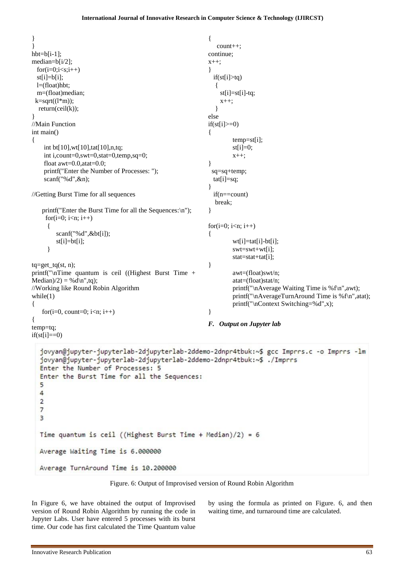```
}
                                                              {
                                                                  count++;
}
hbt=b[i-1];
                                                              continue;
median=b[i/2];
                                                              x++;
 for(i=0;i\leq s;i++)}
                                                                 if(st[i]>tq)
 st[i]=b[i]; l=(float)hbt;
                                                                  {
  m=(float)median;
                                                                  st[i]=st[i]-tq;k=sqrt((l*m));
                                                                   x++;
   return(ceil(k));
                                                                  }
}
                                                              else
//Main Function
                                                              if(st[i] \geq 0)int main()
                                                               {
                                                                       temp=st[i];
{
    int bt[10],wt[10],tat[10],n,tq;
                                                                       st[i]=0;int i,count=0,swt=0,stat=0,temp,sq=0;
                                                                       x++;
    float awt=0.0, atat=0.0;
                                                               }
    printf("Enter the Number of Processes: ");
                                                                sq=sq+temp;
    scanf("%d",&n);
                                                                 tat[i]=sq;
                                                               }
//Getting Burst Time for all sequences
                                                                 if(n==count)
                                                                  break;
    printf("Enter the Burst Time for all the Sequences:\n");
                                                               }
    for(i=0; i < n; i++)for(i=0; i < n; i++) {
        scanf("%d",&bt[i]);
                                                              {
        st[i]=bt[i];wt[i]=tat[i]-bt[i];
      }
                                                                       swt=swt+wt[i];
                                                                       stat=stat+tat[i];
ta = get ta(st, n);
                                                              }
printf("\nTime quantum is ceil ((Highest Burst Time + 
                                                                       awt=(float)swt/n;
Median)/2 = %d\n\times d;
                                                                       atat=(float)stat/n;
//Working like Round Robin Algorithm
                                                                       printf("\nAverage Waiting Time is %f\n",awt);
                                                                       printf("\nAverageTurnAround Time is %f\n",atat);
while(1){
                                                                       printf("\nContext Switching=%d",x);
   for(i=0, count=0; i<n; i++)
                                                              }
{
                                                              F. Output on Jupyter lab
temp=tq;
if(st[i]=0)jovyan@jupyter-jupyterlab-2djupyterlab-2ddemo-2dnpr4tbuk:~$ gcc Imprrs.c -o Imprrs -lm
   jovyan@jupyter-jupyterlab-2djupyterlab-2ddemo-2dnpr4tbuk:~$ ./Imprrs
  Enter the Number of Processes: 5
  Enter the Burst Time for all the Sequences:
   5
  \overline{4}\overline{2}\overline{7}\overline{3}Time quantum is ceil ((Highest Burst Time + Median)/2) = 6
  Average Waiting Time is 6.000000
  Average TurnAround Time is 10.200000
```


In Figure 6, we have obtained the output of Improvised version of Round Robin Algorithm by running the code in Jupyter Labs. User have entered 5 processes with its burst time. Our code has first calculated the Time Quantum value

by using the formula as printed on Figure. 6, and then waiting time, and turnaround time are calculated.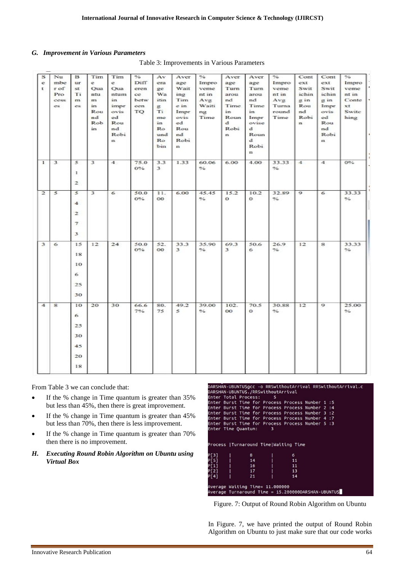#### *G. Improvement in Various Parameters*

| s<br>e<br>$\mathbf{t}$ | Nu<br>mbe<br>rof<br>Pro<br>cess<br>es. | $\overline{B}$<br>ur.<br>st<br>Ti<br>m<br>es. | Tim<br>e.<br>Oua<br>ntu<br>m<br>in<br>Rou<br>nd<br>Rob<br>in | Tim<br>e<br><b>Oua</b><br>ntum<br>in<br>impr<br>ovis<br>ed<br>Rou<br>nd<br>Robi<br>$\mathbf{r}$ | $\frac{a}{b}$<br>Diff<br>eren<br>ce.<br>betw<br>een<br>TO | Av<br>era<br>ge<br>Wa<br>itin<br>g<br>Ti<br>me<br>in<br>Ro<br>und<br>Ro<br>bin | Aver<br>age<br>Wait<br>ing<br>Tim<br>e in<br>Impr<br>ovis<br>ed<br>Rou<br>nd<br>Robi<br>$\mathbf{m}$ | 0/6<br>Impro<br>veme<br>nt in<br>Avg<br>Waiti<br>ng<br>Time | Aver<br>age<br>Turn<br>arou<br>nd<br>Time<br>in<br>Roun<br>$\mathbf{d}$<br>Robi<br>$\mathbf{r}$ | Aver<br>age<br>Turn<br>arou<br>nd<br>Time<br>in<br>Impr<br>ovise<br>d.<br>Roun<br>$\mathbf{d}$<br>Robi<br>n | $\frac{1}{26}$<br>Impro<br>veme<br>nt in<br>Avg<br>Turna<br>round<br>Time | Cont<br>ext<br>Swit<br>ichin<br>$2$ in<br>Rou<br>nd<br>Robi<br>$\mathbf{n}$ | Cont<br>ext<br>Swit<br>ichin<br>$\alpha$ in<br>Impr<br>ovis<br>ed<br>Rou<br>nd<br>Robi<br>$\mathbf{n}$ | $\frac{1}{26}$<br>Impro<br>veme<br>nt in<br>Conte<br>$x$ t<br>Switc<br>hing |
|------------------------|----------------------------------------|-----------------------------------------------|--------------------------------------------------------------|-------------------------------------------------------------------------------------------------|-----------------------------------------------------------|--------------------------------------------------------------------------------|------------------------------------------------------------------------------------------------------|-------------------------------------------------------------|-------------------------------------------------------------------------------------------------|-------------------------------------------------------------------------------------------------------------|---------------------------------------------------------------------------|-----------------------------------------------------------------------------|--------------------------------------------------------------------------------------------------------|-----------------------------------------------------------------------------|
| ı                      | $\overline{\mathbf{3}}$                | 5<br>$\mathbf{1}$<br>$\overline{\mathbf{c}}$  | $\overline{\mathbf{3}}$                                      | $\overline{\mathbf{4}}$                                                                         | 75.0<br>$0\%$                                             | 3.3<br>3                                                                       | 1.33                                                                                                 | 60.06<br>$\frac{1}{2}$                                      | 6.00                                                                                            | 4.00                                                                                                        | 33.33<br>$\frac{96}{2}$                                                   | $\overline{4}$                                                              | $\overline{4}$                                                                                         | $0\%$                                                                       |
| $\overline{2}$         | 5                                      | 5<br>4<br>2<br>$\overline{7}$<br>3            | $\overline{\mathbf{3}}$                                      | 6                                                                                               | 50.0<br>$0\%$                                             | 11.<br>O <sub>O</sub>                                                          | 6.00                                                                                                 | 45.45<br>$\frac{1}{2}$                                      | 15.2<br>$\bf{o}$                                                                                | 10.2<br>$\Omega$                                                                                            | 32.89<br>$\%$                                                             | $\mathbf{Q}$                                                                | 6                                                                                                      | 33.33<br>$\frac{m}{2}$                                                      |
| 3                      | 6                                      | 15<br>18<br>10<br>6<br>25<br>30               | 12                                                           | 24                                                                                              | 50.0<br>$0\%$                                             | 52.<br>OO.                                                                     | 33.3<br>3                                                                                            | 35.90<br>$\%$                                               | 69.3<br>3                                                                                       | 50.6<br>6                                                                                                   | 26.9<br>$\frac{9}{6}$                                                     | 12                                                                          | 8                                                                                                      | 33.33<br>$\frac{9}{6}$                                                      |
| 4                      | $\mathbf{s}$                           | 10<br>6<br>25<br>30<br>45<br>20<br>18         | 20                                                           | 30                                                                                              | 66.6<br>7%                                                | 80.<br>75                                                                      | 49.2<br>5                                                                                            | 39.00<br>$\%$                                               | 102.<br>$\bf{00}$                                                                               | 70.5<br>$\Omega$                                                                                            | 30.88<br>$\%$                                                             | 12                                                                          | 9                                                                                                      | 25.00<br>$\%$                                                               |

Table 3: Improvements in Various Parameters

From Table 3 we can conclude that:

- If the % change in Time quantum is greater than 35% but less than 45%, then there is great improvement.
- If the % change in Time quantum is greater than 45% but less than 70%, then there is less improvement.
- If the % change in Time quantum is greater than 70% then there is no improvement.
- *H. Executing Round Robin Algorithm on Ubuntu using Virtual Box*

**HAN-URUNTUR** -0 DDSwithoutArr Sual PRSwithoutAccival DARSHAN-UBUNTU<mark>Ş./RRSwithoutArrival</mark> ARSANN-OBONTOS./RRSWICHOUCHTTCV&C<br>Enter Total Process: 5<br>Enter Burst Time for Process Process Number  $:5$ Enter Burst Time for Process Process Number 2 :4<br>Enter Burst Time for Process Process Number 2 :4<br>Enter Burst Time for Process Process Number 4 :7 Burst Time for Process Process Number  $\overline{\mathbf{13}}$ inter  $\overline{\mathbf{5}}$ Enter Time Quantum: rocess |Turnaround Time|Waiting Time  $\mathbf{R}$ 6  $\frac{11}{11}$ <br> $\frac{13}{13}$  $14$  $14$ <br> $16$ <br> $17$ <br> $21$ آ4. verage Waiting Time= 11.000000 Average Turnaround Time = 15.200000DARSHAN-UBUNTUS

Figure. 7: Output of Round Robin Algorithm on Ubuntu

In Figure. 7, we have printed the output of Round Robin Algorithm on Ubuntu to just make sure that our code works